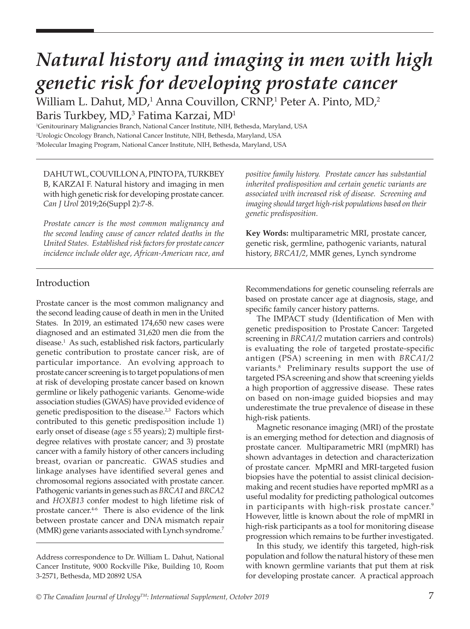# *Natural history and imaging in men with high genetic risk for developing prostate cancer*

William L. Dahut, MD,<sup>1</sup> Anna Couvillon, CRNP,<sup>1</sup> Peter A. Pinto, MD,<sup>2</sup> Baris Turkbey, MD, $^3$  Fatima Karzai, MD $^1$ 

1 Genitourinary Malignancies Branch, National Cancer Institute, NIH, Bethesda, Maryland, USA 2 Urologic Oncology Branch, National Cancer Institute, NIH, Bethesda, Maryland, USA 3 Molecular Imaging Program, National Cancer Institute, NIH, Bethesda, Maryland, USA

DAHUT WL, COUVILLON A, PINTO PA, TURKBEY B, KARZAI F. Natural history and imaging in men with high genetic risk for developing prostate cancer. *Can J Urol* 2019;26(Suppl 2):7-8.

*Prostate cancer is the most common malignancy and the second leading cause of cancer related deaths in the United States. Established risk factors for prostate cancer incidence include older age, African-American race, and* 

*positive family history. Prostate cancer has substantial inherited predisposition and certain genetic variants are associated with increased risk of disease. Screening and imaging should target high-risk populations based on their genetic predisposition.* 

**Key Words:** multiparametric MRI, prostate cancer, genetic risk, germline, pathogenic variants, natural history, *BRCA1/2*, MMR genes, Lynch syndrome

## Introduction

Prostate cancer is the most common malignancy and the second leading cause of death in men in the United States. In 2019, an estimated 174,650 new cases were diagnosed and an estimated 31,620 men die from the disease.1 As such, established risk factors, particularly genetic contribution to prostate cancer risk, are of particular importance. An evolving approach to prostate cancer screening is to target populations of men at risk of developing prostate cancer based on known germline or likely pathogenic variants. Genome-wide association studies (GWAS) have provided evidence of genetic predisposition to the disease.<sup>2,3</sup> Factors which contributed to this genetic predisposition include 1) early onset of disease (age ≤ 55 years); 2) multiple firstdegree relatives with prostate cancer; and 3) prostate cancer with a family history of other cancers including breast, ovarian or pancreatic. GWAS studies and linkage analyses have identified several genes and chromosomal regions associated with prostate cancer. Pathogenic variants in genes such as *BRCA1* and *BRCA2* and *HOXB13* confer modest to high lifetime risk of prostate cancer.<sup>4-6</sup> There is also evidence of the link between prostate cancer and DNA mismatch repair (MMR) gene variants associated with Lynch syndrome.7

Recommendations for genetic counseling referrals are based on prostate cancer age at diagnosis, stage, and specific family cancer history patterns.

The IMPACT study (Identification of Men with genetic predisposition to Prostate Cancer: Targeted screening in *BRCA1/2* mutation carriers and controls) is evaluating the role of targeted prostate-specific antigen (PSA) screening in men with *BRCA1/2* variants.8 Preliminary results support the use of targeted PSA screening and show that screening yields a high proportion of aggressive disease. These rates on based on non-image guided biopsies and may underestimate the true prevalence of disease in these high-risk patients.

Magnetic resonance imaging (MRI) of the prostate is an emerging method for detection and diagnosis of prostate cancer. Multiparametric MRI (mpMRI) has shown advantages in detection and characterization of prostate cancer. MpMRI and MRI-targeted fusion biopsies have the potential to assist clinical decisionmaking and recent studies have reported mpMRI as a useful modality for predicting pathological outcomes in participants with high-risk prostate cancer.9 However, little is known about the role of mpMRI in high-risk participants as a tool for monitoring disease progression which remains to be further investigated.

In this study, we identify this targeted, high-risk population and follow the natural history of these men with known germline variants that put them at risk for developing prostate cancer. A practical approach

Address correspondence to Dr. William L. Dahut, National Cancer Institute, 9000 Rockville Pike, Building 10, Room 3-2571, Bethesda, MD 20892 USA